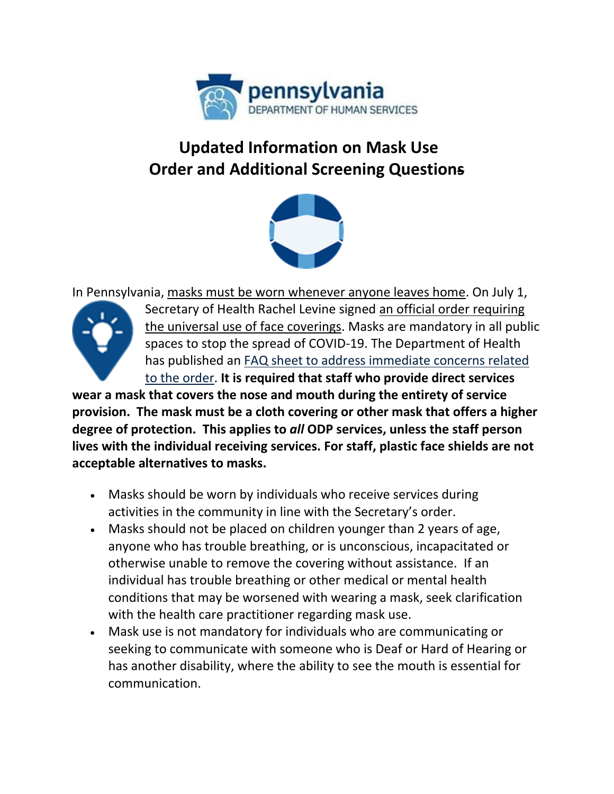

## **Updated Information on Mask Use Order and Additional Screening Questions**



In Pennsylvania, [masks must be worn whenever anyone leaves home.](https://www.governor.pa.gov/newsroom/gov-wolf-sec-of-health-signs-expanded-mask-wearing-order/) On July 1,



Secretary of Health Rachel Levine signed [an official](https://www.governor.pa.gov/wp-content/uploads/2020/07/20200701-SOH-Universal-Face-Coverings-Order.pdf) [order requiring](https://www.governor.pa.gov/wp-content/uploads/2020/07/20200701-SOH-Universal-Face-Coverings-Order.pdf)  [the universal use of face coverings.](https://www.governor.pa.gov/wp-content/uploads/2020/07/20200701-SOH-Universal-Face-Coverings-Order.pdf) Masks are mandatory in all public spaces to stop the spread of COVID-19. The Department of Health has published an [FAQ sheet to address immediate concerns related](https://www.myodp.org/pluginfile.php/339338/mod_book/chapter/246/Universal%20Masking%20Order%20FAQ%2020200703%201030.pdf)  [to the order.](https://www.myodp.org/pluginfile.php/339338/mod_book/chapter/246/Universal%20Masking%20Order%20FAQ%2020200703%201030.pdf) **It is required that staff who provide direct services** 

**wear a mask that covers the nose and mouth during the entirety of service provision. The mask must be a cloth covering or other mask that offers a higher degree of protection. This applies to** *all* **ODP services, unless the staff person lives with the individual receiving services. For staff, plastic face shields are not acceptable alternatives to masks.**

- Masks should be worn by individuals who receive services during activities in the community in line with the Secretary's order.
- Masks should not be placed on children younger than 2 years of age, anyone who has trouble breathing, or is unconscious, incapacitated or otherwise unable to remove the covering without assistance. If an individual has trouble breathing or other medical or mental health conditions that may be worsened with wearing a mask, seek clarification with the health care practitioner regarding mask use.
- Mask use is not mandatory for individuals who are communicating or seeking to communicate with someone who is Deaf or Hard of Hearing or has another disability, where the ability to see the mouth is essential for communication.